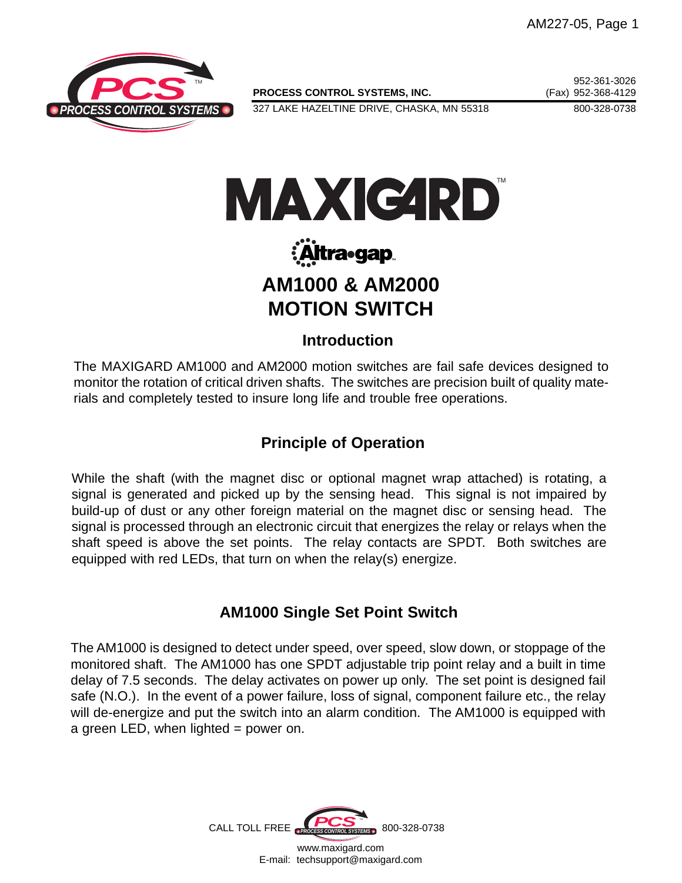

PROCESS CONTROL SYSTEMS, INC. (Fax) 952-368-4129

327 LAKE HAZELTINE DRIVE, CHASKA, MN 55318 800-328-0738

952-361-3026



# :Altra•gap **AM1000 & AM2000 MOTION SWITCH**

### **Introduction**

The MAXIGARD AM1000 and AM2000 motion switches are fail safe devices designed to monitor the rotation of critical driven shafts. The switches are precision built of quality materials and completely tested to insure long life and trouble free operations.

# **Principle of Operation**

While the shaft (with the magnet disc or optional magnet wrap attached) is rotating, a signal is generated and picked up by the sensing head. This signal is not impaired by build-up of dust or any other foreign material on the magnet disc or sensing head. The signal is processed through an electronic circuit that energizes the relay or relays when the shaft speed is above the set points. The relay contacts are SPDT. Both switches are equipped with red LEDs, that turn on when the relay(s) energize.

# **AM1000 Single Set Point Switch**

The AM1000 is designed to detect under speed, over speed, slow down, or stoppage of the monitored shaft. The AM1000 has one SPDT adjustable trip point relay and a built in time delay of 7.5 seconds. The delay activates on power up only. The set point is designed fail safe (N.O.). In the event of a power failure, loss of signal, component failure etc., the relay will de-energize and put the switch into an alarm condition. The AM1000 is equipped with a green LED, when lighted  $=$  power on.

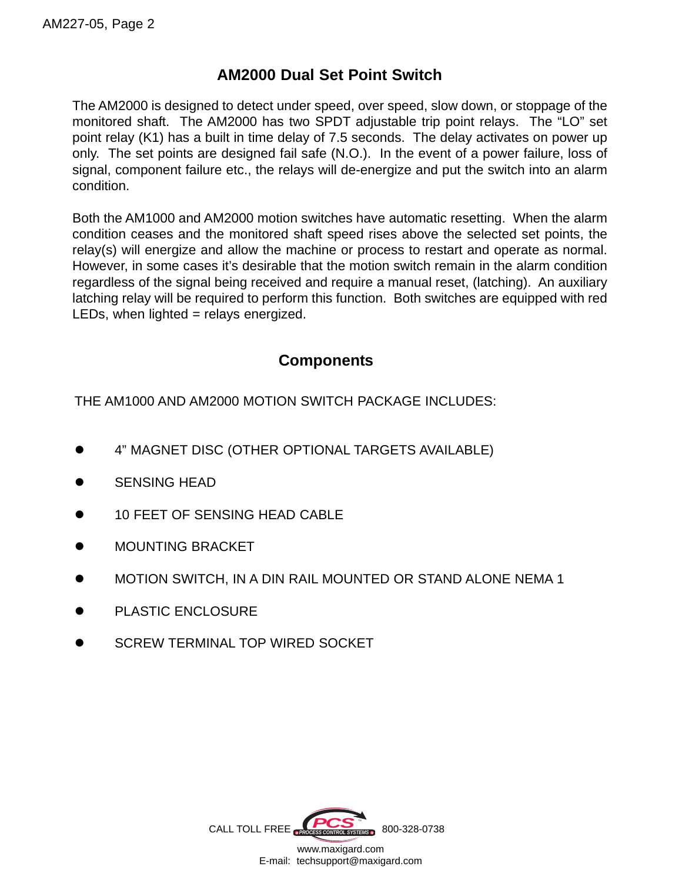## **AM2000 Dual Set Point Switch**

The AM2000 is designed to detect under speed, over speed, slow down, or stoppage of the monitored shaft. The AM2000 has two SPDT adjustable trip point relays. The "LO" set point relay (K1) has a built in time delay of 7.5 seconds. The delay activates on power up only. The set points are designed fail safe (N.O.). In the event of a power failure, loss of signal, component failure etc., the relays will de-energize and put the switch into an alarm condition.

Both the AM1000 and AM2000 motion switches have automatic resetting. When the alarm condition ceases and the monitored shaft speed rises above the selected set points, the relay(s) will energize and allow the machine or process to restart and operate as normal. However, in some cases it's desirable that the motion switch remain in the alarm condition regardless of the signal being received and require a manual reset, (latching). An auxiliary latching relay will be required to perform this function. Both switches are equipped with red LEDs, when lighted = relays energized.

### **Components**

THE AM1000 AND AM2000 MOTION SWITCH PACKAGE INCLUDES:

- 4" MAGNET DISC (OTHER OPTIONAL TARGETS AVAILABLE)
- **SENSING HEAD**
- 10 FEET OF SENSING HEAD CABLE
- MOUNTING BRACKET
- MOTION SWITCH, IN A DIN RAIL MOUNTED OR STAND ALONE NEMA 1
- PLASTIC ENCLOSURE
- SCREW TERMINAL TOP WIRED SOCKET

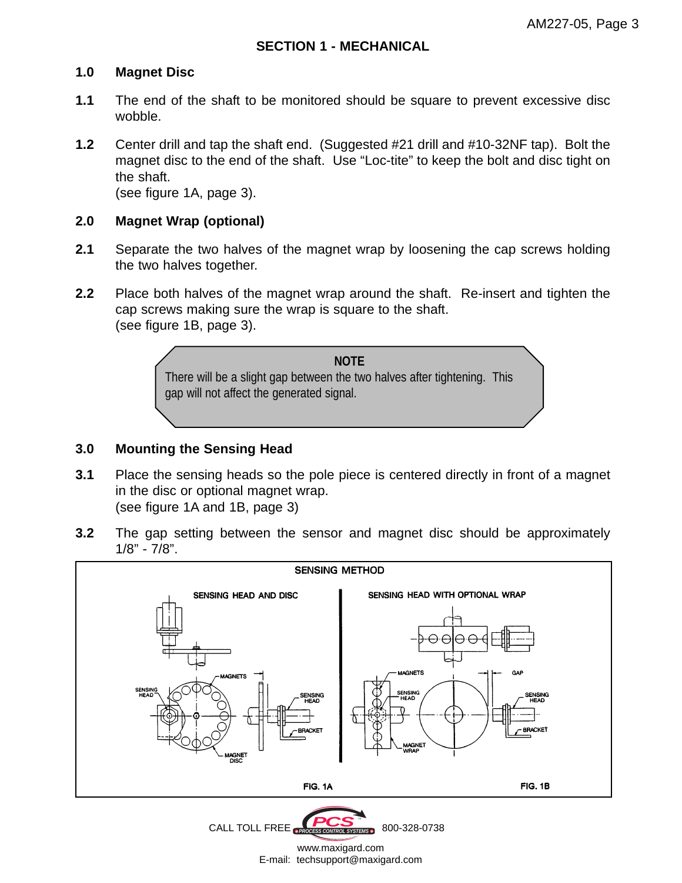#### **1.0 Magnet Disc**

- **1.1** The end of the shaft to be monitored should be square to prevent excessive disc wobble.
- **1.2** Center drill and tap the shaft end. (Suggested #21 drill and #10-32NF tap). Bolt the magnet disc to the end of the shaft. Use "Loc-tite" to keep the bolt and disc tight on the shaft.

(see figure 1A, page 3).

#### **2.0 Magnet Wrap (optional)**

- **2.1** Separate the two halves of the magnet wrap by loosening the cap screws holding the two halves together.
- **2.2** Place both halves of the magnet wrap around the shaft. Re-insert and tighten the cap screws making sure the wrap is square to the shaft. (see figure 1B, page 3).



#### **3.0 Mounting the Sensing Head**

- **3.1** Place the sensing heads so the pole piece is centered directly in front of a magnet in the disc or optional magnet wrap. (see figure 1A and 1B, page 3)
- **3.2** The gap setting between the sensor and magnet disc should be approximately 1/8" - 7/8".





www.maxigard.com E-mail: techsupport@maxigard.com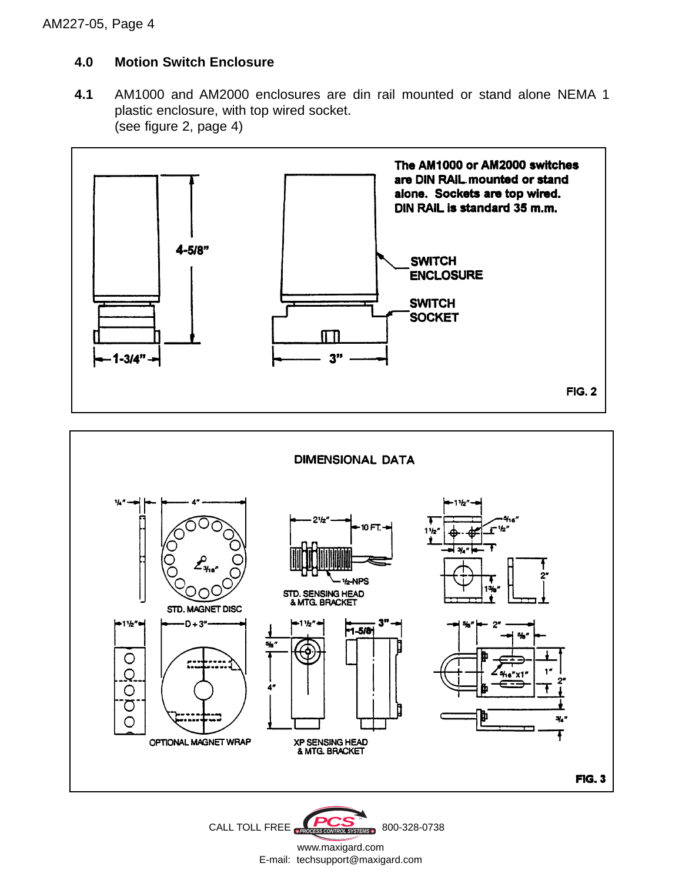### **4.0 Motion Switch Enclosure**

**4.1** AM1000 and AM2000 enclosures are din rail mounted or stand alone NEMA 1 plastic enclosure, with top wired socket. (see figure 2, page 4)



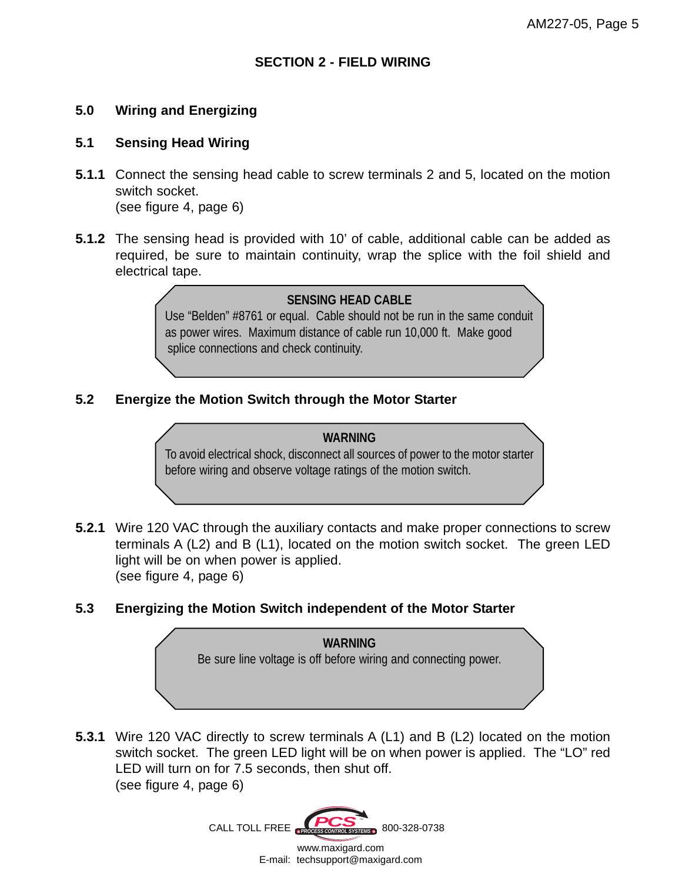#### **5.0 Wiring and Energizing**

#### **5.1 Sensing Head Wiring**

- **5.1.1** Connect the sensing head cable to screw terminals 2 and 5, located on the motion switch socket. (see figure 4, page 6)
- **5.1.2** The sensing head is provided with 10' of cable, additional cable can be added as required, be sure to maintain continuity, wrap the splice with the foil shield and electrical tape.

#### **SENSING HEAD CABLE**

Use "Belden" #8761 or equal. Cable should not be run in the same conduit as power wires. Maximum distance of cable run 10,000 ft. Make good splice connections and check continuity.

#### **5.2 Energize the Motion Switch through the Motor Starter**

#### **WARNING**

To avoid electrical shock, disconnect all sources of power to the motor starter before wiring and observe voltage ratings of the motion switch.

- **5.2.1** Wire 120 VAC through the auxiliary contacts and make proper connections to screw terminals A (L2) and B (L1), located on the motion switch socket. The green LED light will be on when power is applied. (see figure 4, page 6)
- **5.3 Energizing the Motion Switch independent of the Motor Starter**

**WARNING** Be sure line voltage is off before wiring and connecting power.

**5.3.1** Wire 120 VAC directly to screw terminals A (L1) and B (L2) located on the motion switch socket. The green LED light will be on when power is applied. The "LO" red LED will turn on for 7.5 seconds, then shut off. (see figure 4, page 6)

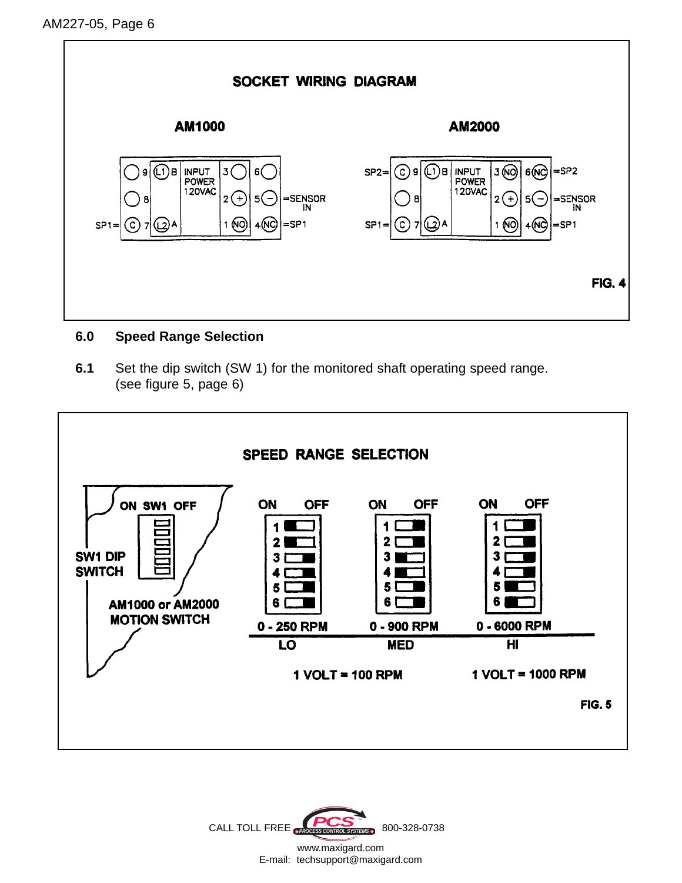

#### **6.0 Speed Range Selection**

**6.1** Set the dip switch (SW 1) for the monitored shaft operating speed range. (see figure 5, page 6)



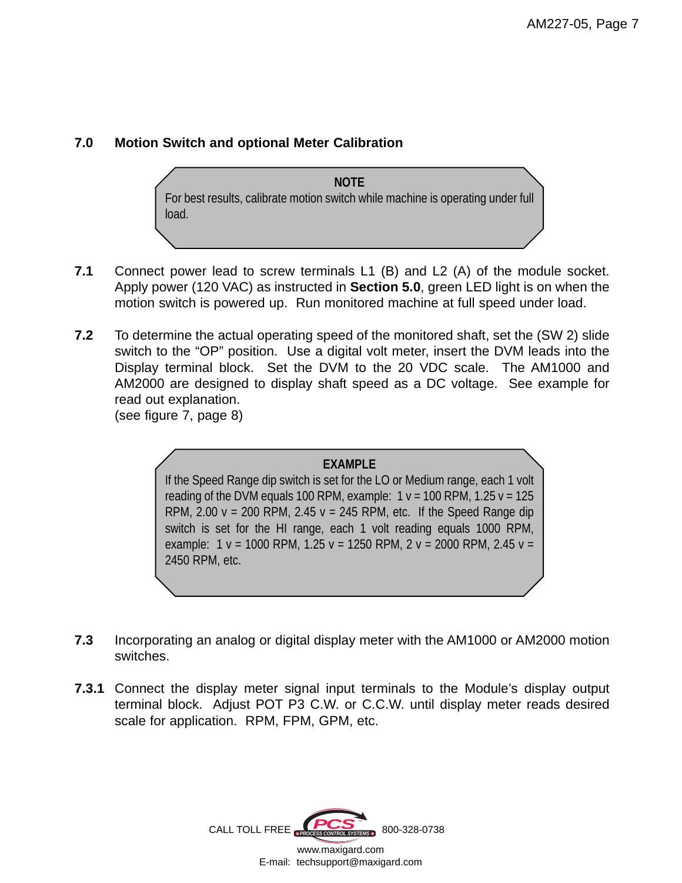#### **7.0 Motion Switch and optional Meter Calibration**

**NOTE** For best results, calibrate motion switch while machine is operating under full load.

- **7.1** Connect power lead to screw terminals L1 (B) and L2 (A) of the module socket. Apply power (120 VAC) as instructed in **Section 5.0**, green LED light is on when the motion switch is powered up. Run monitored machine at full speed under load.
- **7.2** To determine the actual operating speed of the monitored shaft, set the (SW 2) slide switch to the "OP" position. Use a digital volt meter, insert the DVM leads into the Display terminal block. Set the DVM to the 20 VDC scale. The AM1000 and AM2000 are designed to display shaft speed as a DC voltage. See example for read out explanation.

(see figure 7, page 8)

#### **EXAMPLE**

If the Speed Range dip switch is set for the LO or Medium range, each 1 volt reading of the DVM equals 100 RPM, example:  $1 v = 100$  RPM,  $1.25 v = 125$ RPM, 2.00  $v = 200$  RPM, 2.45  $v = 245$  RPM, etc. If the Speed Range dip switch is set for the HI range, each 1 volt reading equals 1000 RPM, example:  $1 v = 1000$  RPM,  $1.25 v = 1250$  RPM,  $2 v = 2000$  RPM,  $2.45 v =$ 2450 RPM, etc.

- **7.3** Incorporating an analog or digital display meter with the AM1000 or AM2000 motion switches.
- **7.3.1** Connect the display meter signal input terminals to the Module's display output terminal block. Adjust POT P3 C.W. or C.C.W. until display meter reads desired scale for application. RPM, FPM, GPM, etc.

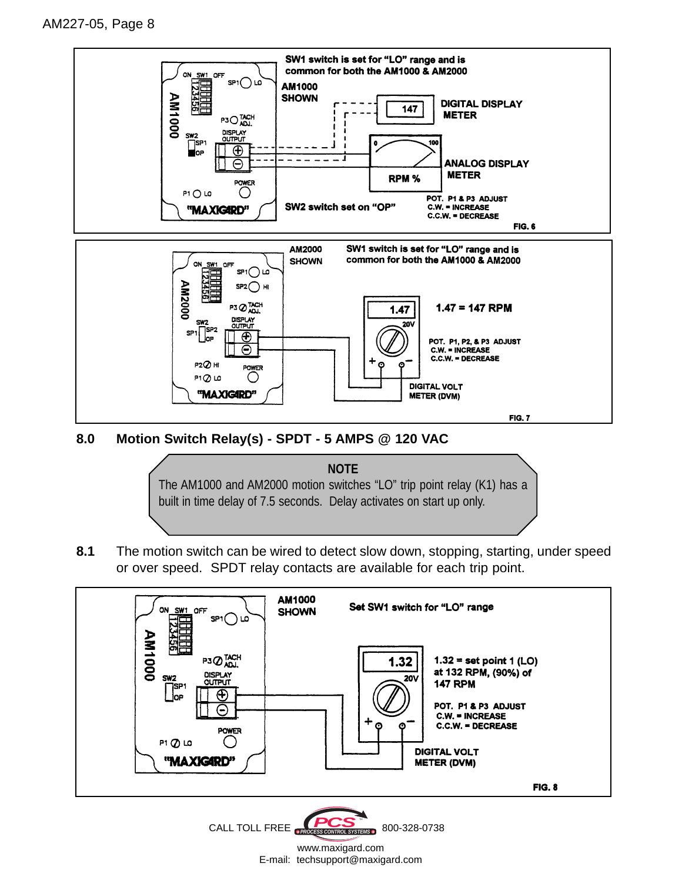

**8.0 Motion Switch Relay(s) - SPDT - 5 AMPS @ 120 VAC**



**8.1** The motion switch can be wired to detect slow down, stopping, starting, under speed or over speed. SPDT relay contacts are available for each trip point.



www.maxigard.com E-mail: techsupport@maxigard.com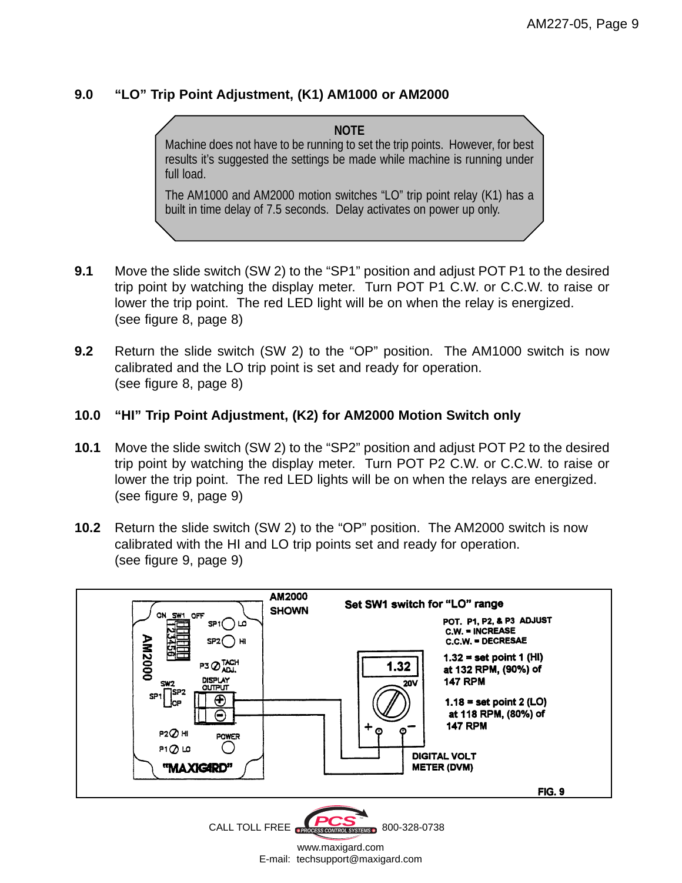#### **9.0 "LO" Trip Point Adjustment, (K1) AM1000 or AM2000**

**NOTE** Machine does not have to be running to set the trip points. However, for best results it's suggested the settings be made while machine is running under full load.

The AM1000 and AM2000 motion switches "LO" trip point relay (K1) has a built in time delay of 7.5 seconds. Delay activates on power up only.

- **9.1** Move the slide switch (SW 2) to the "SP1" position and adjust POT P1 to the desired trip point by watching the display meter. Turn POT P1 C.W. or C.C.W. to raise or lower the trip point. The red LED light will be on when the relay is energized. (see figure 8, page 8)
- **9.2** Return the slide switch (SW 2) to the "OP" position. The AM1000 switch is now calibrated and the LO trip point is set and ready for operation. (see figure 8, page 8)

#### **10.0 "HI" Trip Point Adjustment, (K2) for AM2000 Motion Switch only**

- **10.1** Move the slide switch (SW 2) to the "SP2" position and adjust POT P2 to the desired trip point by watching the display meter. Turn POT P2 C.W. or C.C.W. to raise or lower the trip point. The red LED lights will be on when the relays are energized. (see figure 9, page 9)
- **10.2** Return the slide switch (SW 2) to the "OP" position. The AM2000 switch is now calibrated with the HI and LO trip points set and ready for operation. (see figure 9, page 9)



www.maxigard.com E-mail: techsupport@maxigard.com